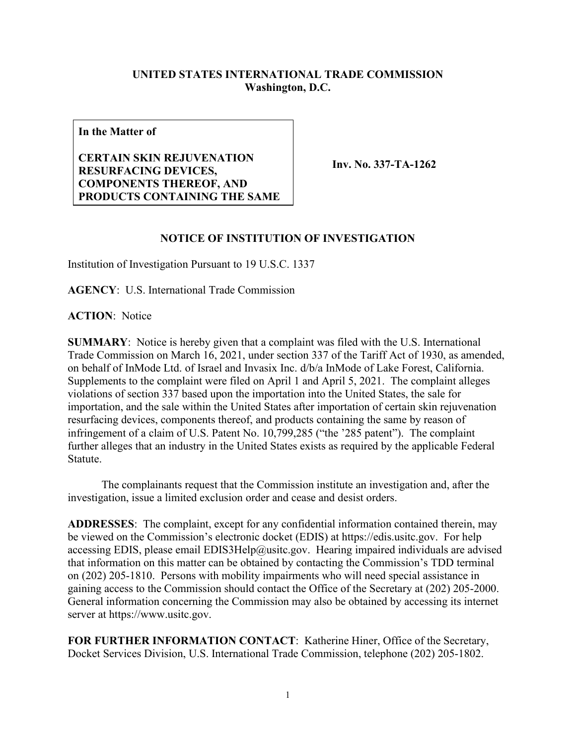## **UNITED STATES INTERNATIONAL TRADE COMMISSION Washington, D.C.**

**In the Matter of**

**CERTAIN SKIN REJUVENATION RESURFACING DEVICES, COMPONENTS THEREOF, AND PRODUCTS CONTAINING THE SAME**

**Inv. No. 337-TA-1262**

## **NOTICE OF INSTITUTION OF INVESTIGATION**

Institution of Investigation Pursuant to 19 U.S.C. 1337

**AGENCY**: U.S. International Trade Commission

**ACTION**: Notice

**SUMMARY**: Notice is hereby given that a complaint was filed with the U.S. International Trade Commission on March 16, 2021, under section 337 of the Tariff Act of 1930, as amended, on behalf of InMode Ltd. of Israel and Invasix Inc. d/b/a InMode of Lake Forest, California. Supplements to the complaint were filed on April 1 and April 5, 2021. The complaint alleges violations of section 337 based upon the importation into the United States, the sale for importation, and the sale within the United States after importation of certain skin rejuvenation resurfacing devices, components thereof, and products containing the same by reason of infringement of a claim of U.S. Patent No. 10,799,285 ("the '285 patent"). The complaint further alleges that an industry in the United States exists as required by the applicable Federal Statute.

The complainants request that the Commission institute an investigation and, after the investigation, issue a limited exclusion order and cease and desist orders.

**ADDRESSES**: The complaint, except for any confidential information contained therein, may be viewed on the Commission's electronic docket (EDIS) at https://edis.usitc.gov. For help accessing EDIS, please email EDIS3Help@usitc.gov. Hearing impaired individuals are advised that information on this matter can be obtained by contacting the Commission's TDD terminal on (202) 205-1810. Persons with mobility impairments who will need special assistance in gaining access to the Commission should contact the Office of the Secretary at (202) 205-2000. General information concerning the Commission may also be obtained by accessing its internet server at https://www.usitc.gov.

**FOR FURTHER INFORMATION CONTACT**: Katherine Hiner, Office of the Secretary, Docket Services Division, U.S. International Trade Commission, telephone (202) 205-1802.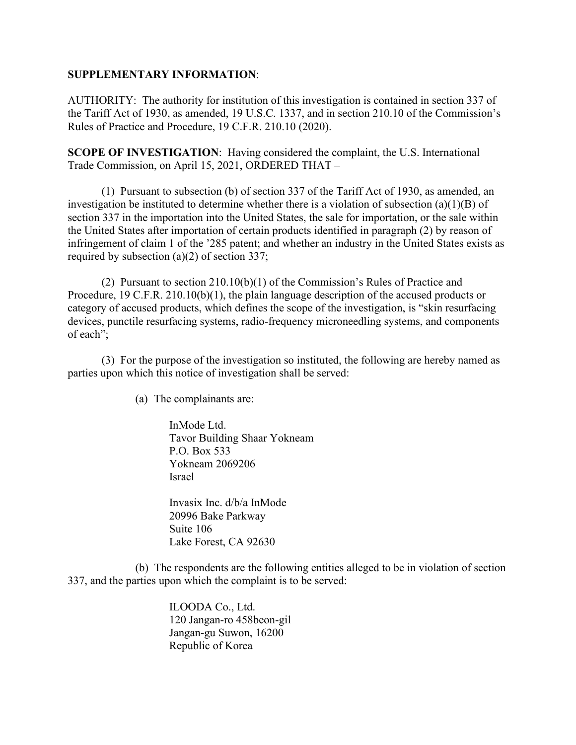## **SUPPLEMENTARY INFORMATION**:

AUTHORITY: The authority for institution of this investigation is contained in section 337 of the Tariff Act of 1930, as amended, 19 U.S.C. 1337, and in section 210.10 of the Commission's Rules of Practice and Procedure, 19 C.F.R. 210.10 (2020).

**SCOPE OF INVESTIGATION**: Having considered the complaint, the U.S. International Trade Commission, on April 15, 2021, ORDERED THAT –

(1) Pursuant to subsection (b) of section 337 of the Tariff Act of 1930, as amended, an investigation be instituted to determine whether there is a violation of subsection (a)(1)(B) of section 337 in the importation into the United States, the sale for importation, or the sale within the United States after importation of certain products identified in paragraph (2) by reason of infringement of claim 1 of the '285 patent; and whether an industry in the United States exists as required by subsection (a)(2) of section 337;

(2) Pursuant to section 210.10(b)(1) of the Commission's Rules of Practice and Procedure, 19 C.F.R. 210.10(b)(1), the plain language description of the accused products or category of accused products, which defines the scope of the investigation, is "skin resurfacing devices, punctile resurfacing systems, radio-frequency microneedling systems, and components of each";

(3) For the purpose of the investigation so instituted, the following are hereby named as parties upon which this notice of investigation shall be served:

(a) The complainants are:

InMode Ltd. Tavor Building Shaar Yokneam P.O. Box 533 Yokneam 2069206 Israel

Invasix Inc. d/b/a InMode 20996 Bake Parkway Suite 106 Lake Forest, CA 92630

(b) The respondents are the following entities alleged to be in violation of section 337, and the parties upon which the complaint is to be served:

> ILOODA Co., Ltd. 120 Jangan-ro 458beon-gil Jangan-gu Suwon, 16200 Republic of Korea